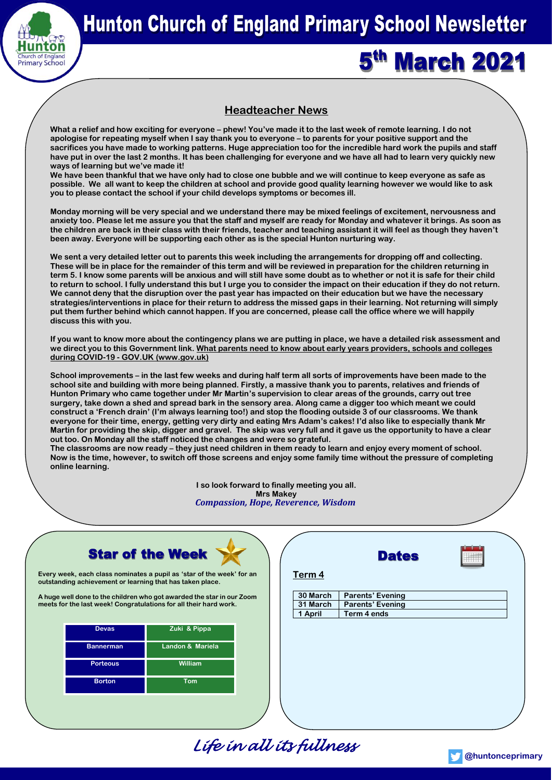

# **Hunton Church of England Primary School Newsletter**

5<sup>th</sup> March 2021

# **Headteacher News**

**What a relief and how exciting for everyone – phew! You've made it to the last week of remote learning. I do not apologise for repeating myself when I say thank you to everyone – to parents for your positive support and the sacrifices you have made to working patterns. Huge appreciation too for the incredible hard work the pupils and staff have put in over the last 2 months. It has been challenging for everyone and we have all had to learn very quickly new ways of learning but we've made it!**

**We have been thankful that we have only had to close one bubble and we will continue to keep everyone as safe as possible. We all want to keep the children at school and provide good quality learning however we would like to ask you to please contact the school if your child develops symptoms or becomes ill.** 

**Monday morning will be very special and we understand there may be mixed feelings of excitement, nervousness and anxiety too. Please let me assure you that the staff and myself are ready for Monday and whatever it brings. As soon as the children are back in their class with their friends, teacher and teaching assistant it will feel as though they haven't been away. Everyone will be supporting each other as is the special Hunton nurturing way.**

**We sent a very detailed letter out to parents this week including the arrangements for dropping off and collecting. These will be in place for the remainder of this term and will be reviewed in preparation for the children returning in term 5. I know some parents will be anxious and will still have some doubt as to whether or not it is safe for their child to return to school. I fully understand this but I urge you to consider the impact on their education if they do not return. We cannot deny that the disruption over the past year has impacted on their education but we have the necessary strategies/interventions in place for their return to address the missed gaps in their learning. Not returning will simply put them further behind which cannot happen. If you are concerned, please call the office where we will happily discuss this with you.**

**If you want to know more about the contingency plans we are putting in place, we have a detailed risk assessment and we direct you to this Government link. [What parents need to know about early years providers, schools and colleges](https://www.gov.uk/government/publications/what-parents-and-carers-need-to-know-about-early-years-providers-schools-and-colleges-during-the-coronavirus-covid-19-outbreak/what-parents-need-to-know-about-early-years-providers-schools-and-colleges-during-covid-19)  during COVID-19 - [GOV.UK \(www.gov.uk\)](https://www.gov.uk/government/publications/what-parents-and-carers-need-to-know-about-early-years-providers-schools-and-colleges-during-the-coronavirus-covid-19-outbreak/what-parents-need-to-know-about-early-years-providers-schools-and-colleges-during-covid-19)**

**School improvements – in the last few weeks and during half term all sorts of improvements have been made to the school site and building with more being planned. Firstly, a massive thank you to parents, relatives and friends of Hunton Primary who came together under Mr Martin's supervision to clear areas of the grounds, carry out tree surgery, take down a shed and spread bark in the sensory area. Along came a digger too which meant we could construct a 'French drain' (I'm always learning too!) and stop the flooding outside 3 of our classrooms. We thank everyone for their time, energy, getting very dirty and eating Mrs Adam's cakes! I'd also like to especially thank Mr Martin for providing the skip, digger and gravel. The skip was very full and it gave us the opportunity to have a clear out too. On Monday all the staff noticed the changes and were so grateful.** 

**The classrooms are now ready – they just need children in them ready to learn and enjoy every moment of school. Now is the time, however, to switch off those screens and enjoy some family time without the pressure of completing online learning.**

> **I so look forward to finally meeting you all. Mrs Makey** *Compassion, Hope, Reverence, Wisdom*



**Every week, each class nominates a pupil as 'star of the week' for an outstanding achievement or learning that has taken place.** 

**A huge well done to the children who got awarded the star in our Zoom meets for the last week! Congratulations for all their hard work.**

| <b>Devas</b>     | Zuki & Pippa     |
|------------------|------------------|
| <b>Bannerman</b> | Landon & Mariela |
| <b>Porteous</b>  | William          |
| <b>Borton</b>    | Tom              |

|                   | <b>Dates</b>            |                         |  |
|-------------------|-------------------------|-------------------------|--|
| Term <sub>4</sub> |                         |                         |  |
| 30 March          |                         |                         |  |
| 31 March          | <b>Parents' Evening</b> |                         |  |
| 1 April           | Term 4 ends             |                         |  |
|                   |                         |                         |  |
|                   |                         |                         |  |
|                   |                         |                         |  |
|                   |                         |                         |  |
|                   |                         |                         |  |
|                   |                         |                         |  |
|                   |                         |                         |  |
|                   |                         |                         |  |
|                   |                         |                         |  |
|                   |                         | <b>Parents' Evening</b> |  |